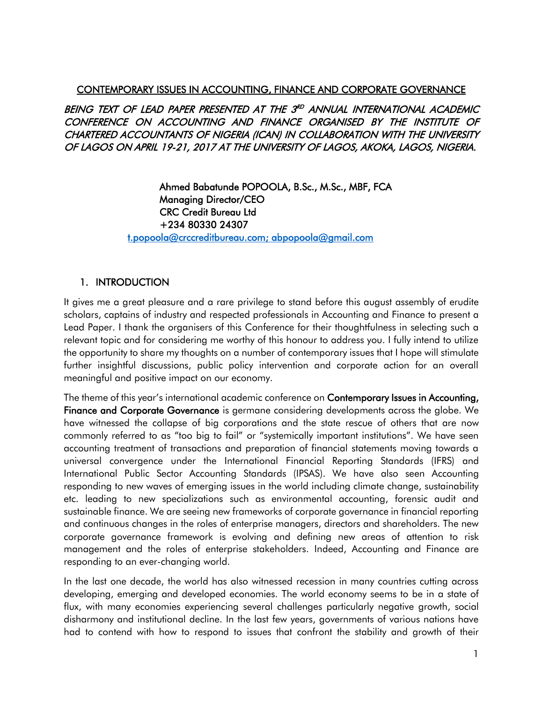#### CONTEMPORARY ISSUES IN ACCOUNTING, FINANCE AND CORPORATE GOVERNANCE

BEING TEXT OF LEAD PAPER PRESENTED AT THE 3<sup>RD</sup> ANNUAL INTERNATIONAL ACADEMIC CONFERENCE ON ACCOUNTING AND FINANCE ORGANISED BY THE INSTITUTE OF CHARTERED ACCOUNTANTS OF NIGERIA (ICAN) IN COLLABORATION WITH THE UNIVERSITY OF LAGOS ON APRIL 19-21, 2017 AT THE UNIVERSITY OF LAGOS, AKOKA, LAGOS, NIGERIA.

> Ahmed Babatunde POPOOLA, B.Sc., M.Sc., MBF, FCA Managing Director/CEO CRC Credit Bureau Ltd +234 80330 24307 [t.popoola@crccreditbureau.com;](mailto:t.popoola@crccreditbureau.com) abpopoola@gmail.com

## 1. INTRODUCTION

It gives me a great pleasure and a rare privilege to stand before this august assembly of erudite scholars, captains of industry and respected professionals in Accounting and Finance to present a Lead Paper. I thank the organisers of this Conference for their thoughtfulness in selecting such a relevant topic and for considering me worthy of this honour to address you. I fully intend to utilize the opportunity to share my thoughts on a number of contemporary issues that I hope will stimulate further insightful discussions, public policy intervention and corporate action for an overall meaningful and positive impact on our economy.

The theme of this year's international academic conference on Contemporary Issues in Accounting, Finance and Corporate Governance is germane considering developments across the globe. We have witnessed the collapse of big corporations and the state rescue of others that are now commonly referred to as "too big to fail" or "systemically important institutions". We have seen accounting treatment of transactions and preparation of financial statements moving towards a universal convergence under the International Financial Reporting Standards (IFRS) and International Public Sector Accounting Standards (IPSAS). We have also seen Accounting responding to new waves of emerging issues in the world including climate change, sustainability etc. leading to new specializations such as environmental accounting, forensic audit and sustainable finance. We are seeing new frameworks of corporate governance in financial reporting and continuous changes in the roles of enterprise managers, directors and shareholders. The new corporate governance framework is evolving and defining new areas of attention to risk management and the roles of enterprise stakeholders. Indeed, Accounting and Finance are responding to an ever-changing world.

In the last one decade, the world has also witnessed recession in many countries cutting across developing, emerging and developed economies. The world economy seems to be in a state of flux, with many economies experiencing several challenges particularly negative growth, social disharmony and institutional decline. In the last few years, governments of various nations have had to contend with how to respond to issues that confront the stability and growth of their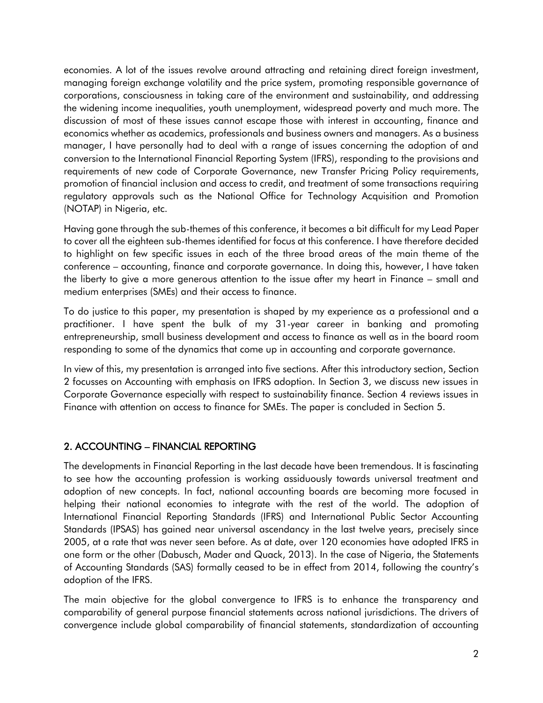economies. A lot of the issues revolve around attracting and retaining direct foreign investment, managing foreign exchange volatility and the price system, promoting responsible governance of corporations, consciousness in taking care of the environment and sustainability, and addressing the widening income inequalities, youth unemployment, widespread poverty and much more. The discussion of most of these issues cannot escape those with interest in accounting, finance and economics whether as academics, professionals and business owners and managers. As a business manager, I have personally had to deal with a range of issues concerning the adoption of and conversion to the International Financial Reporting System (IFRS), responding to the provisions and requirements of new code of Corporate Governance, new Transfer Pricing Policy requirements, promotion of financial inclusion and access to credit, and treatment of some transactions requiring regulatory approvals such as the National Office for Technology Acquisition and Promotion (NOTAP) in Nigeria, etc.

Having gone through the sub-themes of this conference, it becomes a bit difficult for my Lead Paper to cover all the eighteen sub-themes identified for focus at this conference. I have therefore decided to highlight on few specific issues in each of the three broad areas of the main theme of the conference – accounting, finance and corporate governance. In doing this, however, I have taken the liberty to give a more generous attention to the issue after my heart in Finance – small and medium enterprises (SMEs) and their access to finance.

To do justice to this paper, my presentation is shaped by my experience as a professional and a practitioner. I have spent the bulk of my 31-year career in banking and promoting entrepreneurship, small business development and access to finance as well as in the board room responding to some of the dynamics that come up in accounting and corporate governance.

In view of this, my presentation is arranged into five sections. After this introductory section, Section 2 focusses on Accounting with emphasis on IFRS adoption. In Section 3, we discuss new issues in Corporate Governance especially with respect to sustainability finance. Section 4 reviews issues in Finance with attention on access to finance for SMEs. The paper is concluded in Section 5.

# 2. ACCOUNTING – FINANCIAL REPORTING

The developments in Financial Reporting in the last decade have been tremendous. It is fascinating to see how the accounting profession is working assiduously towards universal treatment and adoption of new concepts. In fact, national accounting boards are becoming more focused in helping their national economies to integrate with the rest of the world. The adoption of International Financial Reporting Standards (IFRS) and International Public Sector Accounting Standards (IPSAS) has gained near universal ascendancy in the last twelve years, precisely since 2005, at a rate that was never seen before. As at date, over 120 economies have adopted IFRS in one form or the other (Dabusch, Mader and Quack, 2013). In the case of Nigeria, the Statements of Accounting Standards (SAS) formally ceased to be in effect from 2014, following the country's adoption of the IFRS.

The main objective for the global convergence to IFRS is to enhance the transparency and comparability of general purpose financial statements across national jurisdictions. The drivers of convergence include global comparability of financial statements, standardization of accounting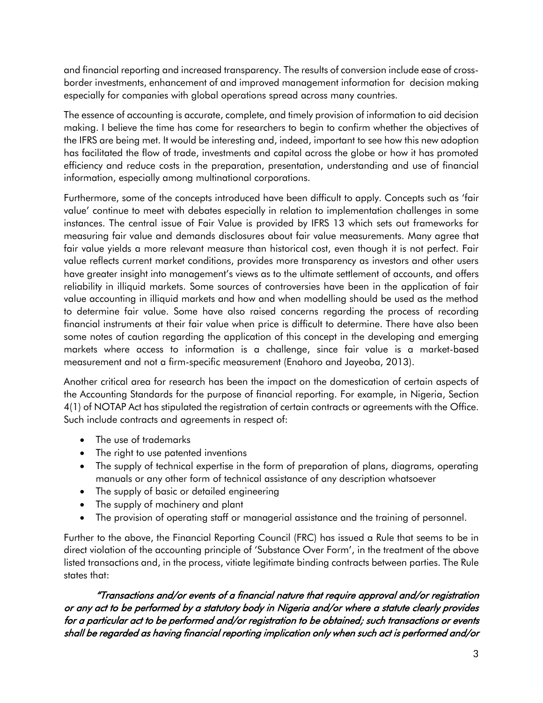and financial reporting and increased transparency. The results of conversion include ease of crossborder investments, enhancement of and improved management information for decision making especially for companies with global operations spread across many countries.

The essence of accounting is accurate, complete, and timely provision of information to aid decision making. I believe the time has come for researchers to begin to confirm whether the objectives of the IFRS are being met. It would be interesting and, indeed, important to see how this new adoption has facilitated the flow of trade, investments and capital across the globe or how it has promoted efficiency and reduce costs in the preparation, presentation, understanding and use of financial information, especially among multinational corporations.

Furthermore, some of the concepts introduced have been difficult to apply. Concepts such as 'fair value' continue to meet with debates especially in relation to implementation challenges in some instances. The central issue of Fair Value is provided by IFRS 13 which sets out frameworks for measuring fair value and demands disclosures about fair value measurements. Many agree that fair value yields a more relevant measure than historical cost, even though it is not perfect. Fair value reflects current market conditions, provides more transparency as investors and other users have greater insight into management's views as to the ultimate settlement of accounts, and offers reliability in illiquid markets. Some sources of controversies have been in the application of fair value accounting in illiquid markets and how and when modelling should be used as the method to determine fair value. Some have also raised concerns regarding the process of recording financial instruments at their fair value when price is difficult to determine. There have also been some notes of caution regarding the application of this concept in the developing and emerging markets where access to information is a challenge, since fair value is a market-based measurement and not a firm-specific measurement (Enahoro and Jayeoba, 2013).

Another critical area for research has been the impact on the domestication of certain aspects of the Accounting Standards for the purpose of financial reporting. For example, in Nigeria, Section 4(1) of NOTAP Act has stipulated the registration of certain contracts or agreements with the Office. Such include contracts and agreements in respect of:

- The use of trademarks
- The right to use patented inventions
- The supply of technical expertise in the form of preparation of plans, diagrams, operating manuals or any other form of technical assistance of any description whatsoever
- The supply of basic or detailed engineering
- The supply of machinery and plant
- The provision of operating staff or managerial assistance and the training of personnel.

Further to the above, the Financial Reporting Council (FRC) has issued a Rule that seems to be in direct violation of the accounting principle of 'Substance Over Form', in the treatment of the above listed transactions and, in the process, vitiate legitimate binding contracts between parties. The Rule states that:

"Transactions and/or events of a financial nature that require approval and/or registration or any act to be performed by a statutory body in Nigeria and/or where a statute clearly provides for a particular act to be performed and/or registration to be obtained; such transactions or events shall be regarded as having financial reporting implication only when such act is performed and/or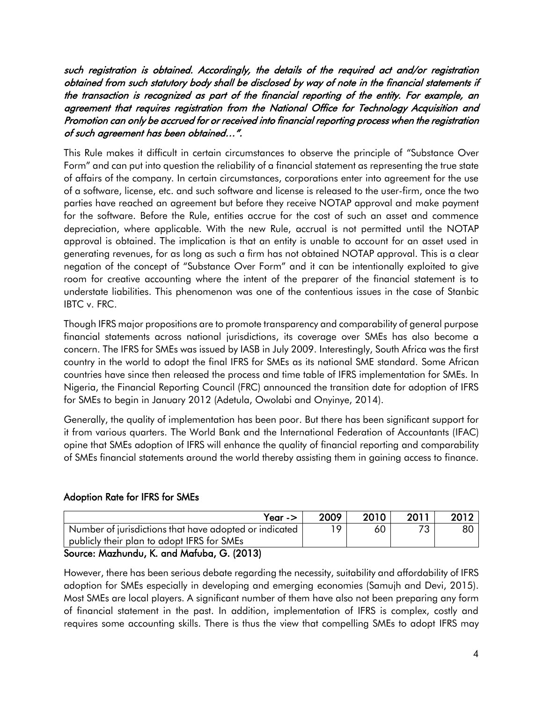such registration is obtained. Accordingly, the details of the required act and/or registration obtained from such statutory body shall be disclosed by way of note in the financial statements if the transaction is recognized as part of the financial reporting of the entity. For example, an agreement that requires registration from the National Office for Technology Acquisition and Promotion can only be accrued for or received into financial reporting process when the registration of such agreement has been obtained…".

This Rule makes it difficult in certain circumstances to observe the principle of "Substance Over Form" and can put into question the reliability of a financial statement as representing the true state of affairs of the company. In certain circumstances, corporations enter into agreement for the use of a software, license, etc. and such software and license is released to the user-firm, once the two parties have reached an agreement but before they receive NOTAP approval and make payment for the software. Before the Rule, entities accrue for the cost of such an asset and commence depreciation, where applicable. With the new Rule, accrual is not permitted until the NOTAP approval is obtained. The implication is that an entity is unable to account for an asset used in generating revenues, for as long as such a firm has not obtained NOTAP approval. This is a clear negation of the concept of "Substance Over Form" and it can be intentionally exploited to give room for creative accounting where the intent of the preparer of the financial statement is to understate liabilities. This phenomenon was one of the contentious issues in the case of Stanbic IBTC v. FRC.

Though IFRS major propositions are to promote transparency and comparability of general purpose financial statements across national jurisdictions, its coverage over SMEs has also become a concern. The IFRS for SMEs was issued by IASB in July 2009. Interestingly, South Africa was the first country in the world to adopt the final IFRS for SMEs as its national SME standard. Some African countries have since then released the process and time table of IFRS implementation for SMEs. In Nigeria, the Financial Reporting Council (FRC) announced the transition date for adoption of IFRS for SMEs to begin in January 2012 (Adetula, Owolabi and Onyinye, 2014).

Generally, the quality of implementation has been poor. But there has been significant support for it from various quarters. The World Bank and the International Federation of Accountants (IFAC) opine that SMEs adoption of IFRS will enhance the quality of financial reporting and comparability of SMEs financial statements around the world thereby assisting them in gaining access to finance.

# Adoption Rate for IFRS for SMEs

| Year - $>$                                                                                                                      | 2009 | 2010 | 2011 | 2012 |
|---------------------------------------------------------------------------------------------------------------------------------|------|------|------|------|
| Number of jurisdictions that have adopted or indicated                                                                          |      | 60   |      | 80   |
| publicly their plan to adopt IFRS for SMEs                                                                                      |      |      |      |      |
| $S_{\text{a}1}$ $M_{\text{a}2}$ $M_{\text{a}2}$ $M_{\text{a}1}$ $M_{\text{a}2}$ $M_{\text{a}2}$ $M_{\text{a}2}$ $M_{\text{a}2}$ |      |      |      |      |

#### Source: Mazhundu, K. and Mafuba, G. (2013)

However, there has been serious debate regarding the necessity, suitability and affordability of IFRS adoption for SMEs especially in developing and emerging economies (Samujh and Devi, 2015). Most SMEs are local players. A significant number of them have also not been preparing any form of financial statement in the past. In addition, implementation of IFRS is complex, costly and requires some accounting skills. There is thus the view that compelling SMEs to adopt IFRS may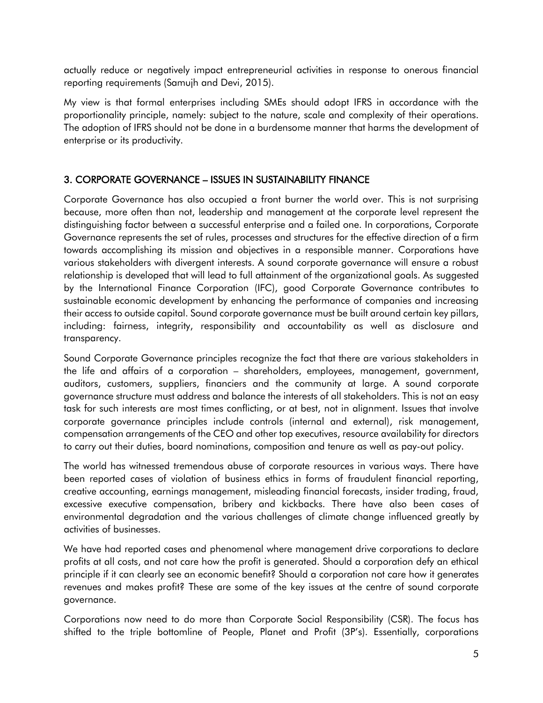actually reduce or negatively impact entrepreneurial activities in response to onerous financial reporting requirements (Samujh and Devi, 2015).

My view is that formal enterprises including SMEs should adopt IFRS in accordance with the proportionality principle, namely: subject to the nature, scale and complexity of their operations. The adoption of IFRS should not be done in a burdensome manner that harms the development of enterprise or its productivity.

## 3. CORPORATE GOVERNANCE – ISSUES IN SUSTAINABILITY FINANCE

Corporate Governance has also occupied a front burner the world over. This is not surprising because, more often than not, leadership and management at the corporate level represent the distinguishing factor between a successful enterprise and a failed one. In corporations, Corporate Governance represents the set of rules, processes and structures for the effective direction of a firm towards accomplishing its mission and objectives in a responsible manner. Corporations have various stakeholders with divergent interests. A sound corporate governance will ensure a robust relationship is developed that will lead to full attainment of the organizational goals. As suggested by the International Finance Corporation (IFC), good Corporate Governance contributes to sustainable economic development by enhancing the performance of companies and increasing their access to outside capital. Sound corporate governance must be built around certain key pillars, including: fairness, integrity, responsibility and accountability as well as disclosure and transparency.

Sound Corporate Governance principles recognize the fact that there are various stakeholders in the life and affairs of a corporation – shareholders, employees, management, government, auditors, customers, suppliers, financiers and the community at large. A sound corporate governance structure must address and balance the interests of all stakeholders. This is not an easy task for such interests are most times conflicting, or at best, not in alignment. Issues that involve corporate governance principles include controls (internal and external), risk management, compensation arrangements of the CEO and other top executives, resource availability for directors to carry out their duties, board nominations, composition and tenure as well as pay-out policy.

The world has witnessed tremendous abuse of corporate resources in various ways. There have been reported cases of violation of business ethics in forms of fraudulent financial reporting, creative accounting, earnings management, misleading financial forecasts, insider trading, fraud, excessive executive compensation, bribery and kickbacks. There have also been cases of environmental degradation and the various challenges of climate change influenced greatly by activities of businesses.

We have had reported cases and phenomenal where management drive corporations to declare profits at all costs, and not care how the profit is generated. Should a corporation defy an ethical principle if it can clearly see an economic benefit? Should a corporation not care how it generates revenues and makes profit? These are some of the key issues at the centre of sound corporate governance.

Corporations now need to do more than Corporate Social Responsibility (CSR). The focus has shifted to the triple bottomline of People, Planet and Profit (3P's). Essentially, corporations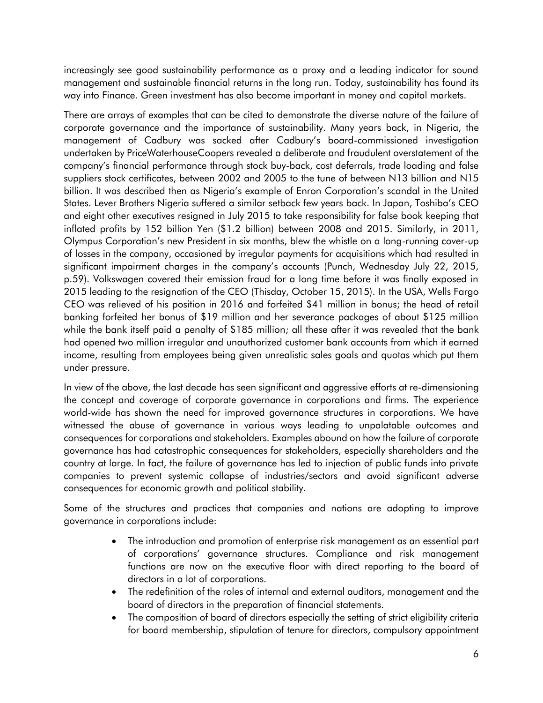increasingly see good sustainability performance as a proxy and a leading indicator for sound management and sustainable financial returns in the long run. Today, sustainability has found its way into Finance. Green investment has also become important in money and capital markets.

There are arrays of examples that can be cited to demonstrate the diverse nature of the failure of corporate governance and the importance of sustainability. Many years back, in Nigeria, the management of Cadbury was sacked after Cadbury's board-commissioned investigation undertaken by PriceWaterhouseCoopers revealed a deliberate and fraudulent overstatement of the company's financial performance through stock buy-back, cost deferrals, trade loading and false suppliers stock certificates, between 2002 and 2005 to the tune of between N13 billion and N15 billion. It was described then as Nigeria's example of Enron Corporation's scandal in the United States. Lever Brothers Nigeria suffered a similar setback few years back. In Japan, Toshiba's CEO and eight other executives resigned in July 2015 to take responsibility for false book keeping that inflated profits by 152 billion Yen (\$1.2 billion) between 2008 and 2015. Similarly, in 2011, Olympus Corporation's new President in six months, blew the whistle on a long-running cover-up of losses in the company, occasioned by irregular payments for acquisitions which had resulted in significant impairment charges in the company's accounts (Punch, Wednesday July 22, 2015, p.59). Volkswagen covered their emission fraud for a long time before it was finally exposed in 2015 leading to the resignation of the CEO (Thisday, October 15, 2015). In the USA, Wells Fargo CEO was relieved of his position in 2016 and forfeited \$41 million in bonus; the head of retail banking forfeited her bonus of \$19 million and her severance packages of about \$125 million while the bank itself paid a penalty of \$185 million; all these after it was revealed that the bank had opened two million irregular and unauthorized customer bank accounts from which it earned income, resulting from employees being given unrealistic sales goals and quotas which put them under pressure.

In view of the above, the last decade has seen significant and aggressive efforts at re-dimensioning the concept and coverage of corporate governance in corporations and firms. The experience world-wide has shown the need for improved governance structures in corporations. We have witnessed the abuse of governance in various ways leading to unpalatable outcomes and consequences for corporations and stakeholders. Examples abound on how the failure of corporate governance has had catastrophic consequences for stakeholders, especially shareholders and the country at large. In fact, the failure of governance has led to injection of public funds into private companies to prevent systemic collapse of industries/sectors and avoid significant adverse consequences for economic growth and political stability.

Some of the structures and practices that companies and nations are adopting to improve governance in corporations include:

- The introduction and promotion of enterprise risk management as an essential part of corporations' governance structures. Compliance and risk management functions are now on the executive floor with direct reporting to the board of directors in a lot of corporations.
- The redefinition of the roles of internal and external auditors, management and the board of directors in the preparation of financial statements.
- The composition of board of directors especially the setting of strict eligibility criteria for board membership, stipulation of tenure for directors, compulsory appointment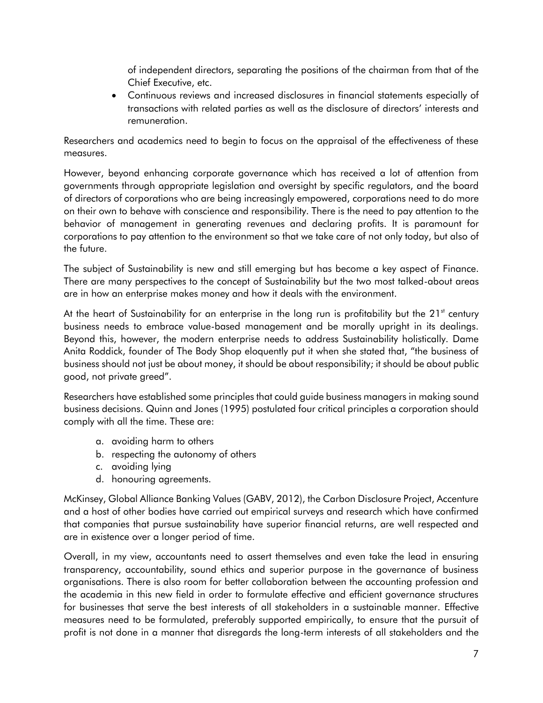of independent directors, separating the positions of the chairman from that of the Chief Executive, etc.

• Continuous reviews and increased disclosures in financial statements especially of transactions with related parties as well as the disclosure of directors' interests and remuneration.

Researchers and academics need to begin to focus on the appraisal of the effectiveness of these measures.

However, beyond enhancing corporate governance which has received a lot of attention from governments through appropriate legislation and oversight by specific regulators, and the board of directors of corporations who are being increasingly empowered, corporations need to do more on their own to behave with conscience and responsibility. There is the need to pay attention to the behavior of management in generating revenues and declaring profits. It is paramount for corporations to pay attention to the environment so that we take care of not only today, but also of the future.

The subject of Sustainability is new and still emerging but has become a key aspect of Finance. There are many perspectives to the concept of Sustainability but the two most talked-about areas are in how an enterprise makes money and how it deals with the environment.

At the heart of Sustainability for an enterprise in the long run is profitability but the  $21<sup>st</sup>$  century business needs to embrace value-based management and be morally upright in its dealings. Beyond this, however, the modern enterprise needs to address Sustainability holistically. Dame Anita Roddick, founder of The Body Shop eloquently put it when she stated that, "the business of business should not just be about money, it should be about responsibility; it should be about public good, not private greed".

Researchers have established some principles that could guide business managers in making sound business decisions. Quinn and Jones (1995) postulated four critical principles a corporation should comply with all the time. These are:

- a. avoiding harm to others
- b. respecting the autonomy of others
- c. avoiding lying
- d. honouring agreements.

McKinsey, Global Alliance Banking Values (GABV, 2012), the Carbon Disclosure Project, Accenture and a host of other bodies have carried out empirical surveys and research which have confirmed that companies that pursue sustainability have superior financial returns, are well respected and are in existence over a longer period of time.

Overall, in my view, accountants need to assert themselves and even take the lead in ensuring transparency, accountability, sound ethics and superior purpose in the governance of business organisations. There is also room for better collaboration between the accounting profession and the academia in this new field in order to formulate effective and efficient governance structures for businesses that serve the best interests of all stakeholders in a sustainable manner. Effective measures need to be formulated, preferably supported empirically, to ensure that the pursuit of profit is not done in a manner that disregards the long-term interests of all stakeholders and the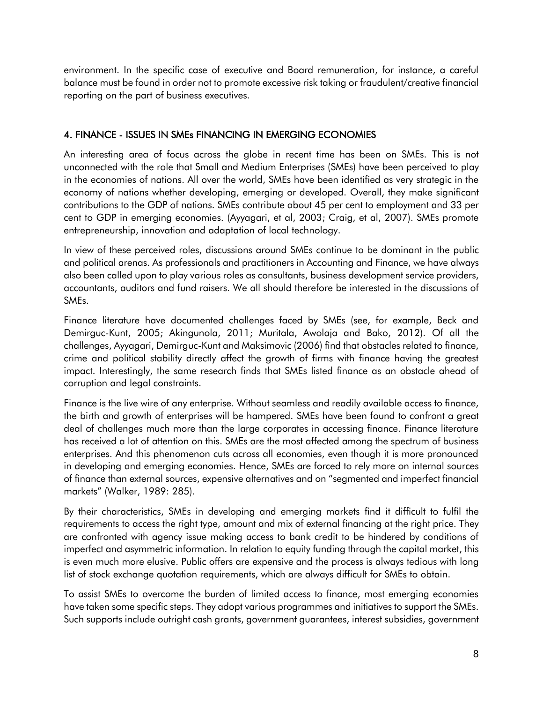environment. In the specific case of executive and Board remuneration, for instance, a careful balance must be found in order not to promote excessive risk taking or fraudulent/creative financial reporting on the part of business executives.

# 4. FINANCE - ISSUES IN SMEs FINANCING IN EMERGING ECONOMIES

An interesting area of focus across the globe in recent time has been on SMEs. This is not unconnected with the role that Small and Medium Enterprises (SMEs) have been perceived to play in the economies of nations. All over the world, SMEs have been identified as very strategic in the economy of nations whether developing, emerging or developed. Overall, they make significant contributions to the GDP of nations. SMEs contribute about 45 per cent to employment and 33 per cent to GDP in emerging economies. (Ayyagari, et al, 2003; Craig, et al, 2007). SMEs promote entrepreneurship, innovation and adaptation of local technology.

In view of these perceived roles, discussions around SMEs continue to be dominant in the public and political arenas. As professionals and practitioners in Accounting and Finance, we have always also been called upon to play various roles as consultants, business development service providers, accountants, auditors and fund raisers. We all should therefore be interested in the discussions of SMEs.

Finance literature have documented challenges faced by SMEs (see, for example, Beck and Demirguc-Kunt, 2005; Akingunola, 2011; Muritala, Awolaja and Bako, 2012). Of all the challenges, Ayyagari, Demirguc-Kunt and Maksimovic (2006) find that obstacles related to finance, crime and political stability directly affect the growth of firms with finance having the greatest impact. Interestingly, the same research finds that SMEs listed finance as an obstacle ahead of corruption and legal constraints.

Finance is the live wire of any enterprise. Without seamless and readily available access to finance, the birth and growth of enterprises will be hampered. SMEs have been found to confront a great deal of challenges much more than the large corporates in accessing finance. Finance literature has received a lot of attention on this. SMEs are the most affected among the spectrum of business enterprises. And this phenomenon cuts across all economies, even though it is more pronounced in developing and emerging economies. Hence, SMEs are forced to rely more on internal sources of finance than external sources, expensive alternatives and on "segmented and imperfect financial markets" (Walker, 1989: 285).

By their characteristics, SMEs in developing and emerging markets find it difficult to fulfil the requirements to access the right type, amount and mix of external financing at the right price. They are confronted with agency issue making access to bank credit to be hindered by conditions of imperfect and asymmetric information. In relation to equity funding through the capital market, this is even much more elusive. Public offers are expensive and the process is always tedious with long list of stock exchange quotation requirements, which are always difficult for SMEs to obtain.

To assist SMEs to overcome the burden of limited access to finance, most emerging economies have taken some specific steps. They adopt various programmes and initiatives to support the SMEs. Such supports include outright cash grants, government guarantees, interest subsidies, government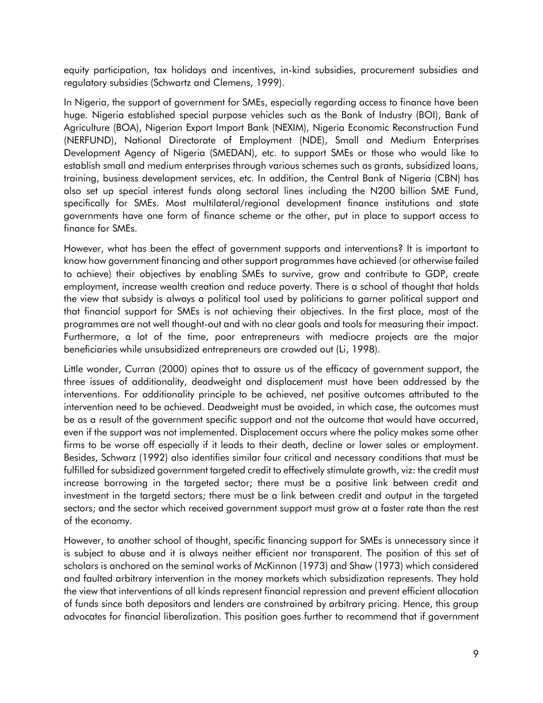equity participation, tax holidays and incentives, in-kind subsidies, procurement subsidies and regulatory subsidies (Schwartz and Clemens, 1999).

In Nigeria, the support of government for SMEs, especially regarding access to finance have been huge. Nigeria established special purpose vehicles such as the Bank of Industry (BOI), Bank of Agriculture (BOA), Nigerian Export Import Bank (NEXIM), Nigeria Economic Reconstruction Fund (NERFUND), National Directorate of Employment (NDE), Small and Medium Enterprises Development Agency of Nigeria (SMEDAN), etc. to support SMEs or those who would like to establish small and medium enterprises through various schemes such as grants, subsidized loans, training, business development services, etc. In addition, the Central Bank of Nigeria (CBN) has also set up special interest funds along sectoral lines including the N200 billion SME Fund, specifically for SMEs. Most multilateral/regional development finance institutions and state governments have one form of finance scheme or the other, put in place to support access to finance for SMEs.

However, what has been the effect of government supports and interventions? It is important to know how government financing and other support programmes have achieved (or otherwise failed to achieve) their objectives by enabling SMEs to survive, grow and contribute to GDP, create employment, increase wealth creation and reduce poverty. There is a school of thought that holds the view that subsidy is always a political tool used by politicians to garner political support and that financial support for SMEs is not achieving their objectives. In the first place, most of the programmes are not well thought-out and with no clear goals and tools for measuring their impact. Furthermore, a lot of the time, poor entrepreneurs with mediocre projects are the major beneficiaries while unsubsidized entrepreneurs are crowded out (Li, 1998).

Little wonder, Curran (2000) opines that to assure us of the efficacy of government support, the three issues of additionality, deadweight and displacement must have been addressed by the interventions. For additionality principle to be achieved, net positive outcomes attributed to the intervention need to be achieved. Deadweight must be avoided, in which case, the outcomes must be as a result of the government specific support and not the outcome that would have occurred, even if the support was not implemented. Displacement occurs where the policy makes some other firms to be worse off especially if it leads to their death, decline or lower sales or employment. Besides, Schwarz (1992) also identifies similar four critical and necessary conditions that must be fulfilled for subsidized government targeted credit to effectively stimulate growth, viz: the credit must increase borrowing in the targeted sector; there must be a positive link between credit and investment in the targetd sectors; there must be a link between credit and output in the targeted sectors; and the sector which received government support must grow at a faster rate than the rest of the economy.

However, to another school of thought, specific financing support for SMEs is unnecessary since it is subject to abuse and it is always neither efficient nor transparent. The position of this set of scholars is anchored on the seminal works of McKinnon (1973) and Shaw (1973) which considered and faulted arbitrary intervention in the money markets which subsidization represents. They hold the view that interventions of all kinds represent financial repression and prevent efficient allocation of funds since both depositors and lenders are constrained by arbitrary pricing. Hence, this group advocates for financial liberalization. This position goes further to recommend that if government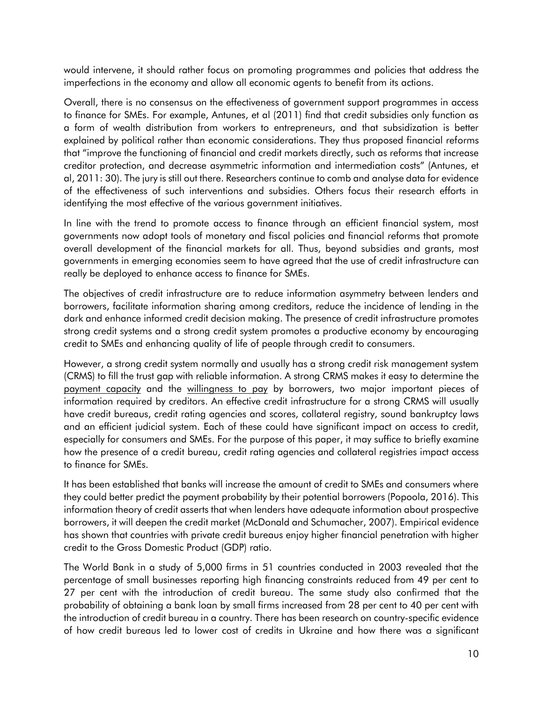would intervene, it should rather focus on promoting programmes and policies that address the imperfections in the economy and allow all economic agents to benefit from its actions.

Overall, there is no consensus on the effectiveness of government support programmes in access to finance for SMEs. For example, Antunes, et al (2011) find that credit subsidies only function as a form of wealth distribution from workers to entrepreneurs, and that subsidization is better explained by political rather than economic considerations. They thus proposed financial reforms that "improve the functioning of financial and credit markets directly, such as reforms that increase creditor protection, and decrease asymmetric information and intermediation costs" (Antunes, et al, 2011: 30). The jury is still out there. Researchers continue to comb and analyse data for evidence of the effectiveness of such interventions and subsidies. Others focus their research efforts in identifying the most effective of the various government initiatives.

In line with the trend to promote access to finance through an efficient financial system, most governments now adopt tools of monetary and fiscal policies and financial reforms that promote overall development of the financial markets for all. Thus, beyond subsidies and grants, most governments in emerging economies seem to have agreed that the use of credit infrastructure can really be deployed to enhance access to finance for SMEs.

The objectives of credit infrastructure are to reduce information asymmetry between lenders and borrowers, facilitate information sharing among creditors, reduce the incidence of lending in the dark and enhance informed credit decision making. The presence of credit infrastructure promotes strong credit systems and a strong credit system promotes a productive economy by encouraging credit to SMEs and enhancing quality of life of people through credit to consumers.

However, a strong credit system normally and usually has a strong credit risk management system (CRMS) to fill the trust gap with reliable information. A strong CRMS makes it easy to determine the payment capacity and the willingness to pay by borrowers, two major important pieces of information required by creditors. An effective credit infrastructure for a strong CRMS will usually have credit bureaus, credit rating agencies and scores, collateral registry, sound bankruptcy laws and an efficient judicial system. Each of these could have significant impact on access to credit, especially for consumers and SMEs. For the purpose of this paper, it may suffice to briefly examine how the presence of a credit bureau, credit rating agencies and collateral registries impact access to finance for SMEs.

It has been established that banks will increase the amount of credit to SMEs and consumers where they could better predict the payment probability by their potential borrowers (Popoola, 2016). This information theory of credit asserts that when lenders have adequate information about prospective borrowers, it will deepen the credit market (McDonald and Schumacher, 2007). Empirical evidence has shown that countries with private credit bureaus enjoy higher financial penetration with higher credit to the Gross Domestic Product (GDP) ratio.

The World Bank in a study of 5,000 firms in 51 countries conducted in 2003 revealed that the percentage of small businesses reporting high financing constraints reduced from 49 per cent to 27 per cent with the introduction of credit bureau. The same study also confirmed that the probability of obtaining a bank loan by small firms increased from 28 per cent to 40 per cent with the introduction of credit bureau in a country. There has been research on country-specific evidence of how credit bureaus led to lower cost of credits in Ukraine and how there was a significant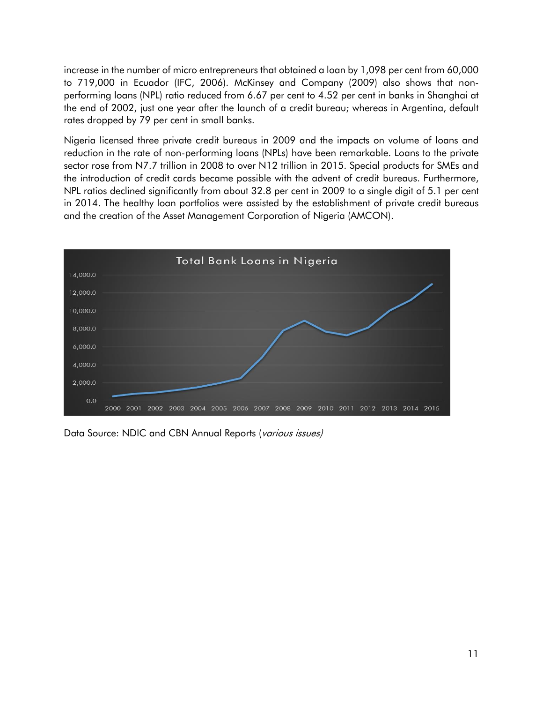increase in the number of micro entrepreneurs that obtained a loan by 1,098 per cent from 60,000 to 719,000 in Ecuador (IFC, 2006). McKinsey and Company (2009) also shows that nonperforming loans (NPL) ratio reduced from 6.67 per cent to 4.52 per cent in banks in Shanghai at the end of 2002, just one year after the launch of a credit bureau; whereas in Argentina, default rates dropped by 79 per cent in small banks.

Nigeria licensed three private credit bureaus in 2009 and the impacts on volume of loans and reduction in the rate of non-performing loans (NPLs) have been remarkable. Loans to the private sector rose from N7.7 trillion in 2008 to over N12 trillion in 2015. Special products for SMEs and the introduction of credit cards became possible with the advent of credit bureaus. Furthermore, NPL ratios declined significantly from about 32.8 per cent in 2009 to a single digit of 5.1 per cent in 2014. The healthy loan portfolios were assisted by the establishment of private credit bureaus and the creation of the Asset Management Corporation of Nigeria (AMCON).



Data Source: NDIC and CBN Annual Reports (various issues)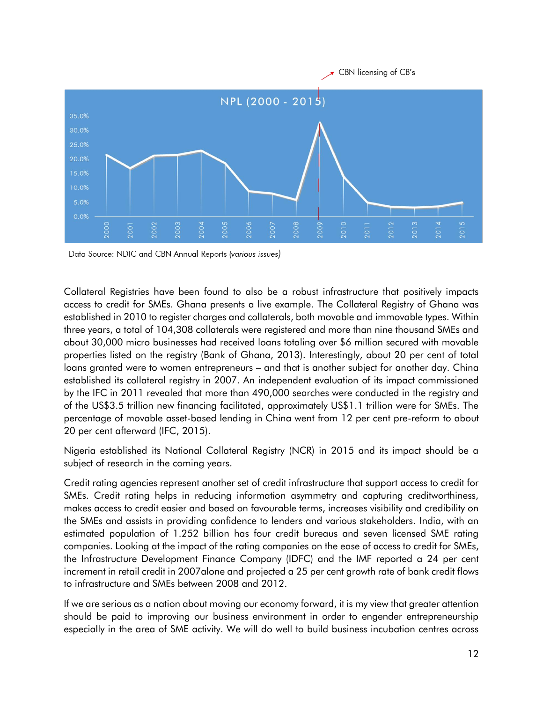

Data Source: NDIC and CBN Annual Reports (various issues)

Collateral Registries have been found to also be a robust infrastructure that positively impacts access to credit for SMEs. Ghana presents a live example. The Collateral Registry of Ghana was established in 2010 to register charges and collaterals, both movable and immovable types. Within three years, a total of 104,308 collaterals were registered and more than nine thousand SMEs and about 30,000 micro businesses had received loans totaling over \$6 million secured with movable properties listed on the registry (Bank of Ghana, 2013). Interestingly, about 20 per cent of total loans granted were to women entrepreneurs – and that is another subject for another day. China established its collateral registry in 2007. An independent evaluation of its impact commissioned by the IFC in 2011 revealed that more than 490,000 searches were conducted in the registry and of the US\$3.5 trillion new financing facilitated, approximately US\$1.1 trillion were for SMEs. The percentage of movable asset-based lending in China went from 12 per cent pre-reform to about 20 per cent afterward (IFC, 2015).

Nigeria established its National Collateral Registry (NCR) in 2015 and its impact should be a subject of research in the coming years.

Credit rating agencies represent another set of credit infrastructure that support access to credit for SMEs. Credit rating helps in reducing information asymmetry and capturing creditworthiness, makes access to credit easier and based on favourable terms, increases visibility and credibility on the SMEs and assists in providing confidence to lenders and various stakeholders. India, with an estimated population of 1.252 billion has four credit bureaus and seven licensed SME rating companies. Looking at the impact of the rating companies on the ease of access to credit for SMEs, the Infrastructure Development Finance Company (IDFC) and the IMF reported a 24 per cent increment in retail credit in 2007alone and projected a 25 per cent growth rate of bank credit flows to infrastructure and SMEs between 2008 and 2012.

If we are serious as a nation about moving our economy forward, it is my view that greater attention should be paid to improving our business environment in order to engender entrepreneurship especially in the area of SME activity. We will do well to build business incubation centres across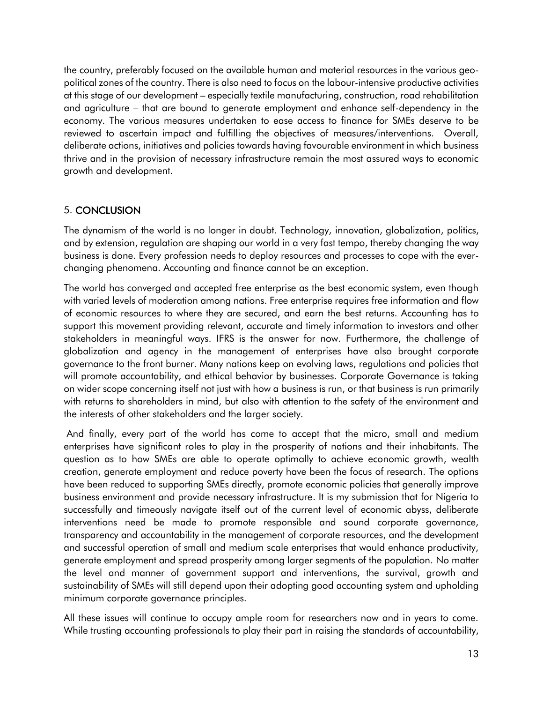the country, preferably focused on the available human and material resources in the various geopolitical zones of the country. There is also need to focus on the labour-intensive productive activities at this stage of our development – especially textile manufacturing, construction, road rehabilitation and agriculture – that are bound to generate employment and enhance self-dependency in the economy. The various measures undertaken to ease access to finance for SMEs deserve to be reviewed to ascertain impact and fulfilling the objectives of measures/interventions. Overall, deliberate actions, initiatives and policies towards having favourable environment in which business thrive and in the provision of necessary infrastructure remain the most assured ways to economic growth and development.

## 5. CONCLUSION

The dynamism of the world is no longer in doubt. Technology, innovation, globalization, politics, and by extension, regulation are shaping our world in a very fast tempo, thereby changing the way business is done. Every profession needs to deploy resources and processes to cope with the everchanging phenomena. Accounting and finance cannot be an exception.

The world has converged and accepted free enterprise as the best economic system, even though with varied levels of moderation among nations. Free enterprise requires free information and flow of economic resources to where they are secured, and earn the best returns. Accounting has to support this movement providing relevant, accurate and timely information to investors and other stakeholders in meaningful ways. IFRS is the answer for now. Furthermore, the challenge of globalization and agency in the management of enterprises have also brought corporate governance to the front burner. Many nations keep on evolving laws, regulations and policies that will promote accountability, and ethical behavior by businesses. Corporate Governance is taking on wider scope concerning itself not just with how a business is run, or that business is run primarily with returns to shareholders in mind, but also with attention to the safety of the environment and the interests of other stakeholders and the larger society.

And finally, every part of the world has come to accept that the micro, small and medium enterprises have significant roles to play in the prosperity of nations and their inhabitants. The question as to how SMEs are able to operate optimally to achieve economic growth, wealth creation, generate employment and reduce poverty have been the focus of research. The options have been reduced to supporting SMEs directly, promote economic policies that generally improve business environment and provide necessary infrastructure. It is my submission that for Nigeria to successfully and timeously navigate itself out of the current level of economic abyss, deliberate interventions need be made to promote responsible and sound corporate governance, transparency and accountability in the management of corporate resources, and the development and successful operation of small and medium scale enterprises that would enhance productivity, generate employment and spread prosperity among larger segments of the population. No matter the level and manner of government support and interventions, the survival, growth and sustainability of SMEs will still depend upon their adopting good accounting system and upholding minimum corporate governance principles.

All these issues will continue to occupy ample room for researchers now and in years to come. While trusting accounting professionals to play their part in raising the standards of accountability,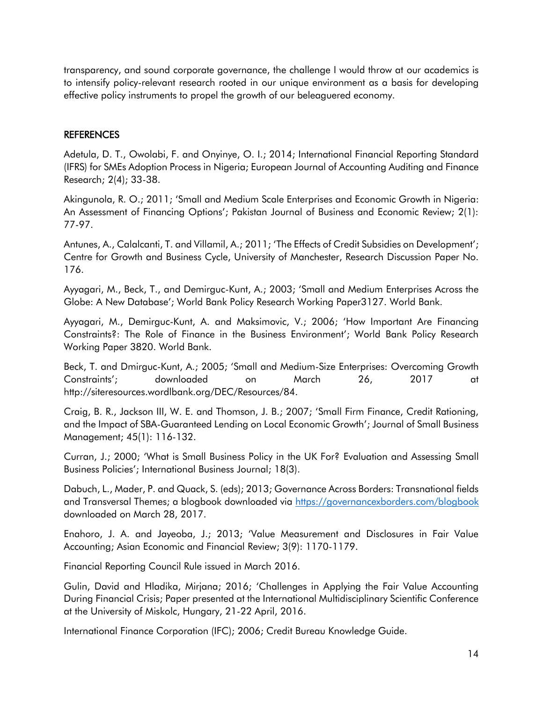transparency, and sound corporate governance, the challenge I would throw at our academics is to intensify policy-relevant research rooted in our unique environment as a basis for developing effective policy instruments to propel the growth of our beleaguered economy.

### **REFERENCES**

Adetula, D. T., Owolabi, F. and Onyinye, O. I.; 2014; International Financial Reporting Standard (IFRS) for SMEs Adoption Process in Nigeria; European Journal of Accounting Auditing and Finance Research; 2(4); 33-38.

Akingunola, R. O.; 2011; 'Small and Medium Scale Enterprises and Economic Growth in Nigeria: An Assessment of Financing Options'; Pakistan Journal of Business and Economic Review; 2(1): 77-97.

Antunes, A., Calalcanti, T. and Villamil, A.; 2011; 'The Effects of Credit Subsidies on Development'; Centre for Growth and Business Cycle, University of Manchester, Research Discussion Paper No. 176.

Ayyagari, M., Beck, T., and Demirguc-Kunt, A.; 2003; 'Small and Medium Enterprises Across the Globe: A New Database'; World Bank Policy Research Working Paper3127. World Bank.

Ayyagari, M., Demirguc-Kunt, A. and Maksimovic, V.; 2006; 'How Important Are Financing Constraints?: The Role of Finance in the Business Environment'; World Bank Policy Research Working Paper 3820. World Bank.

Beck, T. and Dmirguc-Kunt, A.; 2005; 'Small and Medium-Size Enterprises: Overcoming Growth Constraints'; downloaded on March 26, 2017 at http://siteresources.wordlbank.org/DEC/Resources/84.

Craig, B. R., Jackson III, W. E. and Thomson, J. B.; 2007; 'Small Firm Finance, Credit Rationing, and the Impact of SBA-Guaranteed Lending on Local Economic Growth'; Journal of Small Business Management; 45(1): 116-132.

Curran, J.; 2000; 'What is Small Business Policy in the UK For? Evaluation and Assessing Small Business Policies'; International Business Journal; 18(3).

Dabuch, L., Mader, P. and Quack, S. (eds); 2013; Governance Across Borders: Transnational fields and Transversal Themes; a blogbook downloaded via<https://governancexborders.com/blogbook> downloaded on March 28, 2017.

Enahoro, J. A. and Jayeoba, J.; 2013; 'Value Measurement and Disclosures in Fair Value Accounting; Asian Economic and Financial Review; 3(9): 1170-1179.

Financial Reporting Council Rule issued in March 2016.

Gulin, David and Hladika, Mirjana; 2016; 'Challenges in Applying the Fair Value Accounting During Financial Crisis; Paper presented at the International Multidisciplinary Scientific Conference at the University of Miskolc, Hungary, 21-22 April, 2016.

International Finance Corporation (IFC); 2006; Credit Bureau Knowledge Guide.